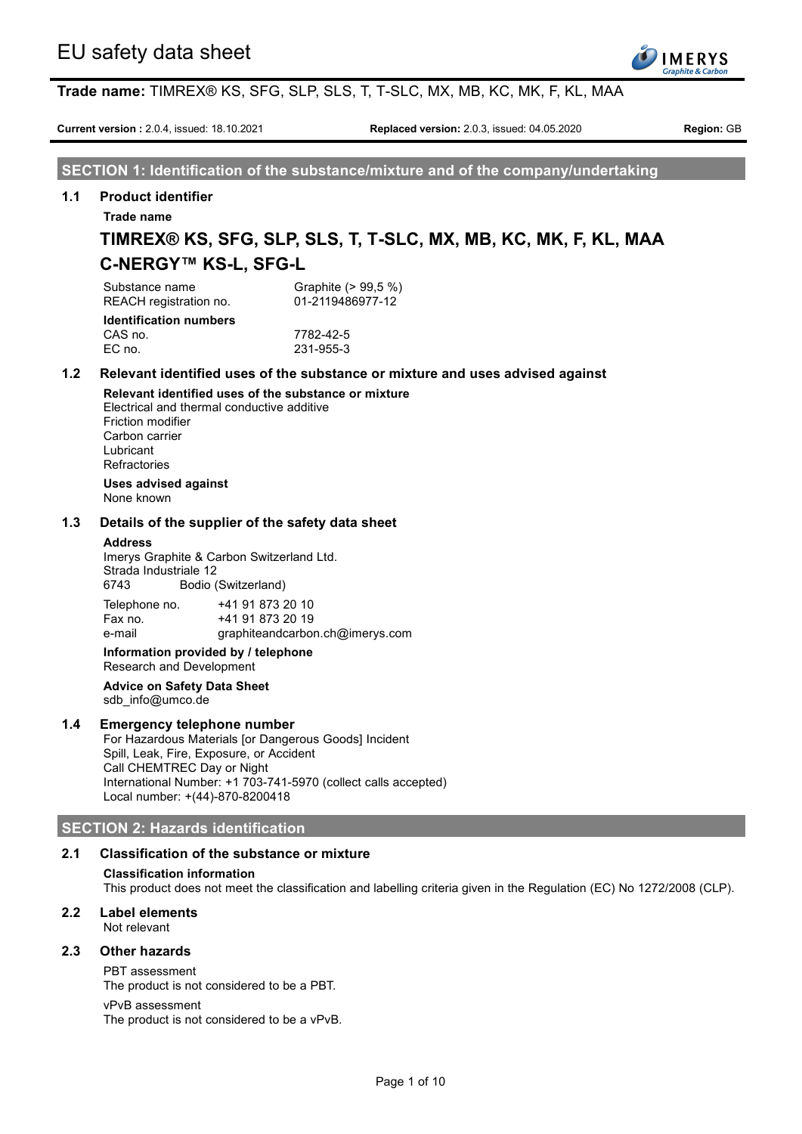

**Current version :** 2.0.4, issued: 18.10.2021 **Replaced version:** 2.0.3, issued: 04.05.2020 **Region:** GB

**SECTION 1: Identification of the substance/mixture and of the company/undertaking**

## **1.1 Product identifier**

**Trade name**

# **TIMREX® KS, SFG, SLP, SLS, T, T-SLC, MX, MB, KC, MK, F, KL, MAA C-NERGY™ KS-L, SFG-L**

| Substance name<br>REACH registration no. | Graphite (> 99,5 %)<br>01-2119486977-12 |
|------------------------------------------|-----------------------------------------|
| <b>Identification numbers</b>            |                                         |
| <u>_ . _</u>                             | ----- --                                |

CAS no. 7782-42-5 EC no. 231-955-3

# **1.2 Relevant identified uses of the substance or mixture and uses advised against**

**Relevant identified uses of the substance or mixture** Electrical and thermal conductive additive Friction modifier Carbon carrier Lubricant **Refractories** 

**Uses advised against**

None known

## **1.3 Details of the supplier of the safety data sheet**

#### **Address**

Imerys Graphite & Carbon Switzerland Ltd. Strada Industriale 12 6743 Bodio (Switzerland) Telephone no. +41 91 873 20 10 Fax no. +41 91 873 20 19 e-mail graphiteandcarbon.ch@imerys.com

**Information provided by / telephone**

Research and Development

#### **Advice on Safety Data Sheet** sdb\_info@umco.de

## **1.4 Emergency telephone number**

For Hazardous Materials [or Dangerous Goods] Incident Spill, Leak, Fire, Exposure, or Accident Call CHEMTREC Day or Night International Number: +1 703-741-5970 (collect calls accepted) Local number: +(44)-870-8200418

## **SECTION 2: Hazards identification**

## **2.1 Classification of the substance or mixture**

#### **Classification information**

This product does not meet the classification and labelling criteria given in the Regulation (EC) No 1272/2008 (CLP).

# **2.2 Label elements**

Not relevant

## **2.3 Other hazards**

PBT assessment The product is not considered to be a PBT.

#### vPvB assessment

The product is not considered to be a vPvB.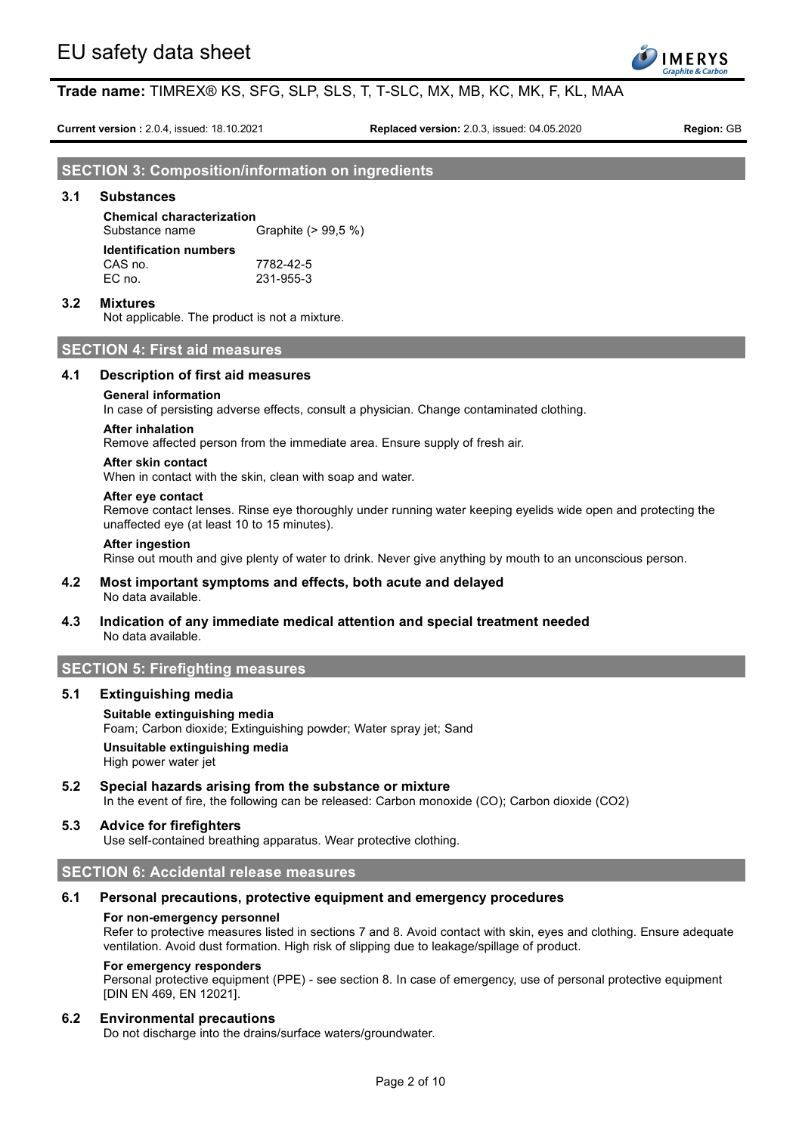

**Current version :** 2.0.4, issued: 18.10.2021 **Replaced version:** 2.0.3, issued: 04.05.2020 **Region:** GB

**SECTION 3: Composition/information on ingredients**

### **3.1 Substances**

# **Chemical characterization**

Substance name Graphite (> 99,5 %) **Identification numbers**

| CAS no. | 7782-42-5 |
|---------|-----------|
| EC no.  | 231-955-3 |

#### **3.2 Mixtures**

Not applicable. The product is not a mixture.

## **SECTION 4: First aid measures**

### **4.1 Description of first aid measures**

#### **General information**

In case of persisting adverse effects, consult a physician. Change contaminated clothing.

#### **After inhalation**

Remove affected person from the immediate area. Ensure supply of fresh air.

#### **After skin contact**

When in contact with the skin, clean with soap and water.

#### **After eye contact**

Remove contact lenses. Rinse eye thoroughly under running water keeping eyelids wide open and protecting the unaffected eye (at least 10 to 15 minutes).

#### **After ingestion**

Rinse out mouth and give plenty of water to drink. Never give anything by mouth to an unconscious person.

#### **4.2 Most important symptoms and effects, both acute and delayed** No data available.

## **4.3 Indication of any immediate medical attention and special treatment needed** No data available.

## **SECTION 5: Firefighting measures**

#### **5.1 Extinguishing media**

## **Suitable extinguishing media** Foam; Carbon dioxide; Extinguishing powder; Water spray jet; Sand **Unsuitable extinguishing media** High power water jet

**5.2 Special hazards arising from the substance or mixture**

In the event of fire, the following can be released: Carbon monoxide (CO); Carbon dioxide (CO2)

#### **5.3 Advice for firefighters**

Use self-contained breathing apparatus. Wear protective clothing.

#### **SECTION 6: Accidental release measures**

#### **6.1 Personal precautions, protective equipment and emergency procedures**

#### **For non-emergency personnel**

Refer to protective measures listed in sections 7 and 8. Avoid contact with skin, eyes and clothing. Ensure adequate ventilation. Avoid dust formation. High risk of slipping due to leakage/spillage of product.

#### **For emergency responders**

Personal protective equipment (PPE) - see section 8. In case of emergency, use of personal protective equipment [DIN EN 469, EN 12021].

#### **6.2 Environmental precautions**

Do not discharge into the drains/surface waters/groundwater.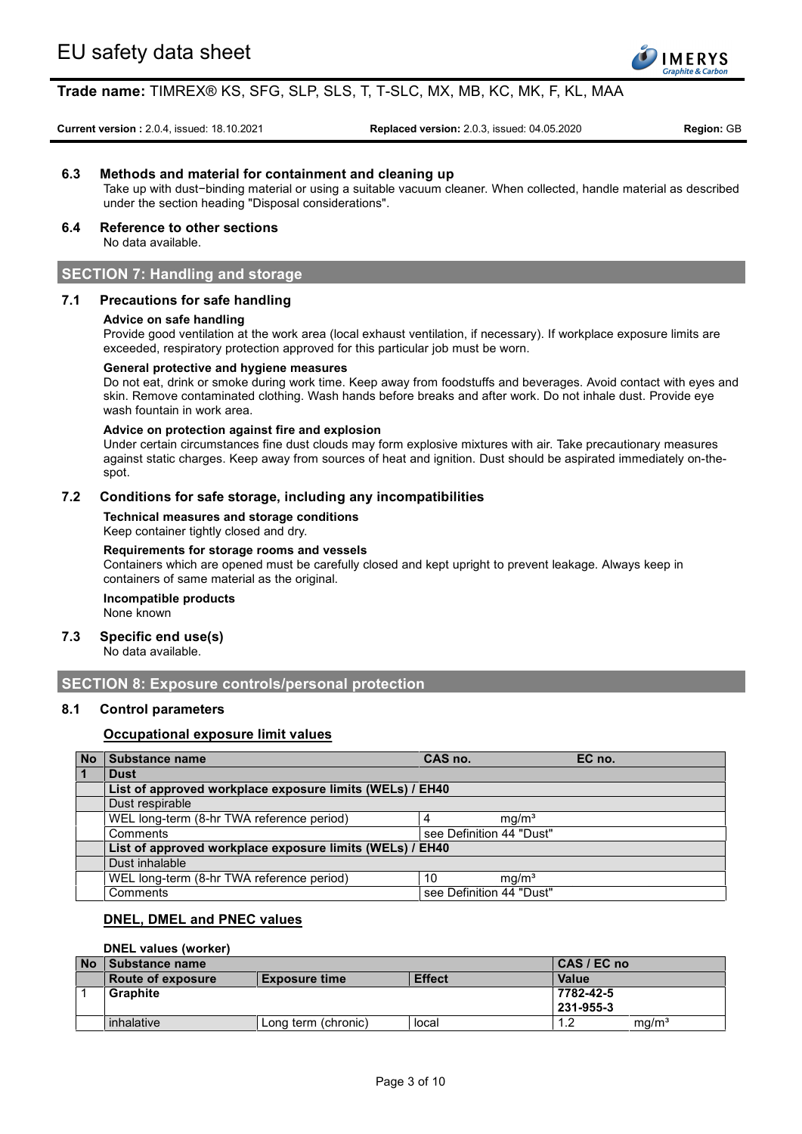

**Current version :** 2.0.4, issued: 18.10.2021 **Replaced version:** 2.0.3, issued: 04.05.2020 **Region:** GB

### **6.3 Methods and material for containment and cleaning up**

Take up with dust−binding material or using a suitable vacuum cleaner. When collected, handle material as described under the section heading "Disposal considerations".

# **6.4 Reference to other sections**

No data available.

# **SECTION 7: Handling and storage**

## **7.1 Precautions for safe handling**

#### **Advice on safe handling**

Provide good ventilation at the work area (local exhaust ventilation, if necessary). If workplace exposure limits are exceeded, respiratory protection approved for this particular job must be worn.

#### **General protective and hygiene measures**

Do not eat, drink or smoke during work time. Keep away from foodstuffs and beverages. Avoid contact with eyes and skin. Remove contaminated clothing. Wash hands before breaks and after work. Do not inhale dust. Provide eye wash fountain in work area.

#### **Advice on protection against fire and explosion**

Under certain circumstances fine dust clouds may form explosive mixtures with air. Take precautionary measures against static charges. Keep away from sources of heat and ignition. Dust should be aspirated immediately on-thespot.

## **7.2 Conditions for safe storage, including any incompatibilities**

**Technical measures and storage conditions**

Keep container tightly closed and dry.

#### **Requirements for storage rooms and vessels**

Containers which are opened must be carefully closed and kept upright to prevent leakage. Always keep in containers of same material as the original.

# **Incompatible products**

None known

# **7.3 Specific end use(s)**

No data available.

## **SECTION 8: Exposure controls/personal protection**

## **8.1 Control parameters**

## **Occupational exposure limit values**

|   | No Substance name                                        | CAS no.                  |                   | EC no. |
|---|----------------------------------------------------------|--------------------------|-------------------|--------|
| 1 | <b>Dust</b>                                              |                          |                   |        |
|   | List of approved workplace exposure limits (WELs) / EH40 |                          |                   |        |
|   | Dust respirable                                          |                          |                   |        |
|   | WEL long-term (8-hr TWA reference period)                |                          | mq/m <sup>3</sup> |        |
|   | Comments                                                 | see Definition 44 "Dust" |                   |        |
|   | List of approved workplace exposure limits (WELs) / EH40 |                          |                   |        |
|   | Dust inhalable                                           |                          |                   |        |
|   | WEL long-term (8-hr TWA reference period)                | 10                       | mg/m <sup>3</sup> |        |
|   | Comments                                                 | see Definition 44 "Dust" |                   |        |

## **DNEL, DMEL and PNEC values**

## **DNEL values (worker)**

| <b>No</b> | <b>A Substance name</b> |                      |               | CAS / EC no      |                   |
|-----------|-------------------------|----------------------|---------------|------------------|-------------------|
|           | Route of exposure       | <b>Exposure time</b> | <b>Effect</b> | <b>Value</b>     |                   |
|           | <b>Graphite</b>         |                      |               | 7782-42-5        |                   |
|           |                         |                      |               | $1231 - 955 - 3$ |                   |
|           | inhalative              | Long term (chronic)  | local         | $\overline{A}$   | mg/m <sup>3</sup> |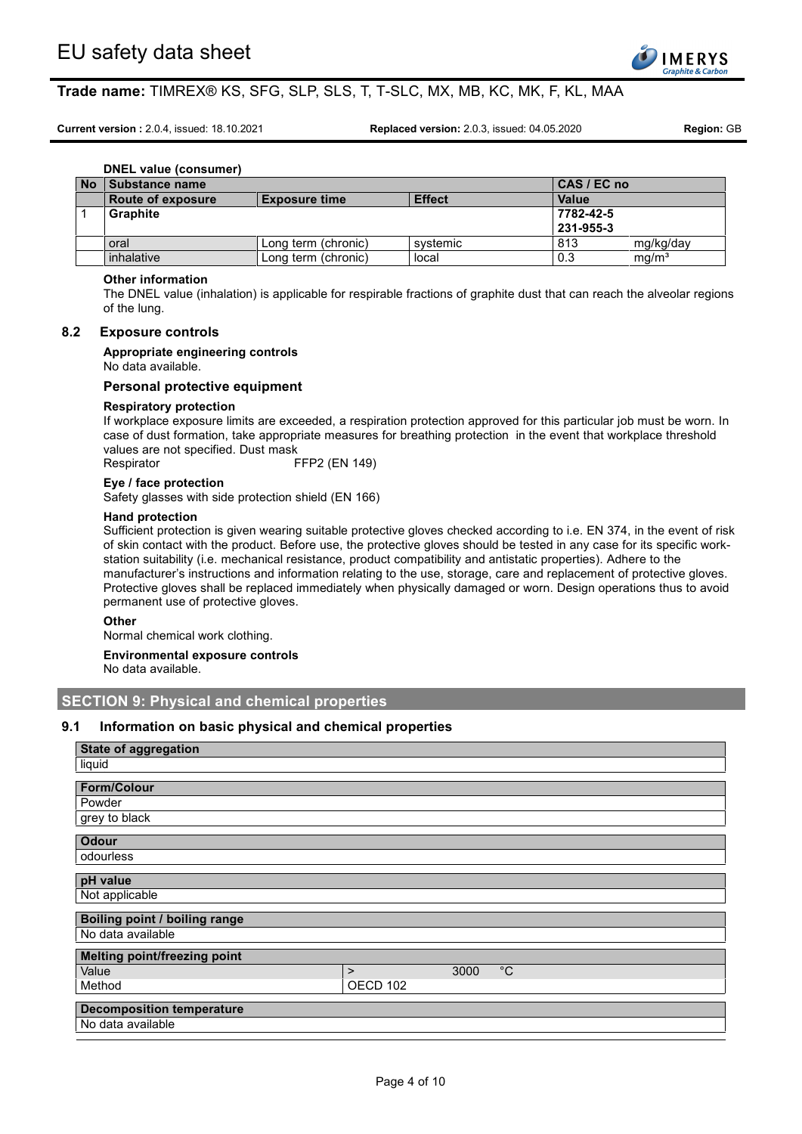

**Current version :** 2.0.4, issued: 18.10.2021 **Replaced version:** 2.0.3, issued: 04.05.2020 **Region:** GB

**DNEL value (consumer)**

| <b>No</b> | <b>Substance name</b>    |                      |               | CAS / EC no  |                   |
|-----------|--------------------------|----------------------|---------------|--------------|-------------------|
|           | <b>Route of exposure</b> | <b>Exposure time</b> | <b>Effect</b> | <b>Value</b> |                   |
|           | <b>Graphite</b>          |                      |               | 7782-42-5    |                   |
|           |                          |                      |               | 231-955-3    |                   |
|           | oral                     | Long term (chronic)  | systemic      | 813          | mg/kg/day         |
|           | inhalative               | Long term (chronic)  | local         | 0.3          | mg/m <sup>3</sup> |

### **Other information**

The DNEL value (inhalation) is applicable for respirable fractions of graphite dust that can reach the alveolar regions of the lung.

#### **8.2 Exposure controls**

### **Appropriate engineering controls**

No data available.

#### **Personal protective equipment**

#### **Respiratory protection**

If workplace exposure limits are exceeded, a respiration protection approved for this particular job must be worn. In case of dust formation, take appropriate measures for breathing protection in the event that workplace threshold values are not specified. Dust mask

Respirator FFP2 (EN 149)

#### **Eye / face protection**

Safety glasses with side protection shield (EN 166)

#### **Hand protection**

Sufficient protection is given wearing suitable protective gloves checked according to i.e. EN 374, in the event of risk of skin contact with the product. Before use, the protective gloves should be tested in any case for its specific workstation suitability (i.e. mechanical resistance, product compatibility and antistatic properties). Adhere to the manufacturer's instructions and information relating to the use, storage, care and replacement of protective gloves. Protective gloves shall be replaced immediately when physically damaged or worn. Design operations thus to avoid permanent use of protective gloves.

#### **Other**

Normal chemical work clothing.

**Environmental exposure controls**

No data available.

# **SECTION 9: Physical and chemical properties**

### **9.1 Information on basic physical and chemical properties**

| <b>State of aggregation</b>      |          |      |             |
|----------------------------------|----------|------|-------------|
| liquid                           |          |      |             |
| <b>Form/Colour</b>               |          |      |             |
| Powder                           |          |      |             |
| grey to black                    |          |      |             |
|                                  |          |      |             |
| <b>Odour</b>                     |          |      |             |
| odourless                        |          |      |             |
| pH value                         |          |      |             |
| Not applicable                   |          |      |             |
| Boiling point / boiling range    |          |      |             |
| No data available                |          |      |             |
| Melting point/freezing point     |          |      |             |
| Value                            | $\geq$   | 3000 | $^{\circ}C$ |
| Method                           | OECD 102 |      |             |
| <b>Decomposition temperature</b> |          |      |             |
| No data available                |          |      |             |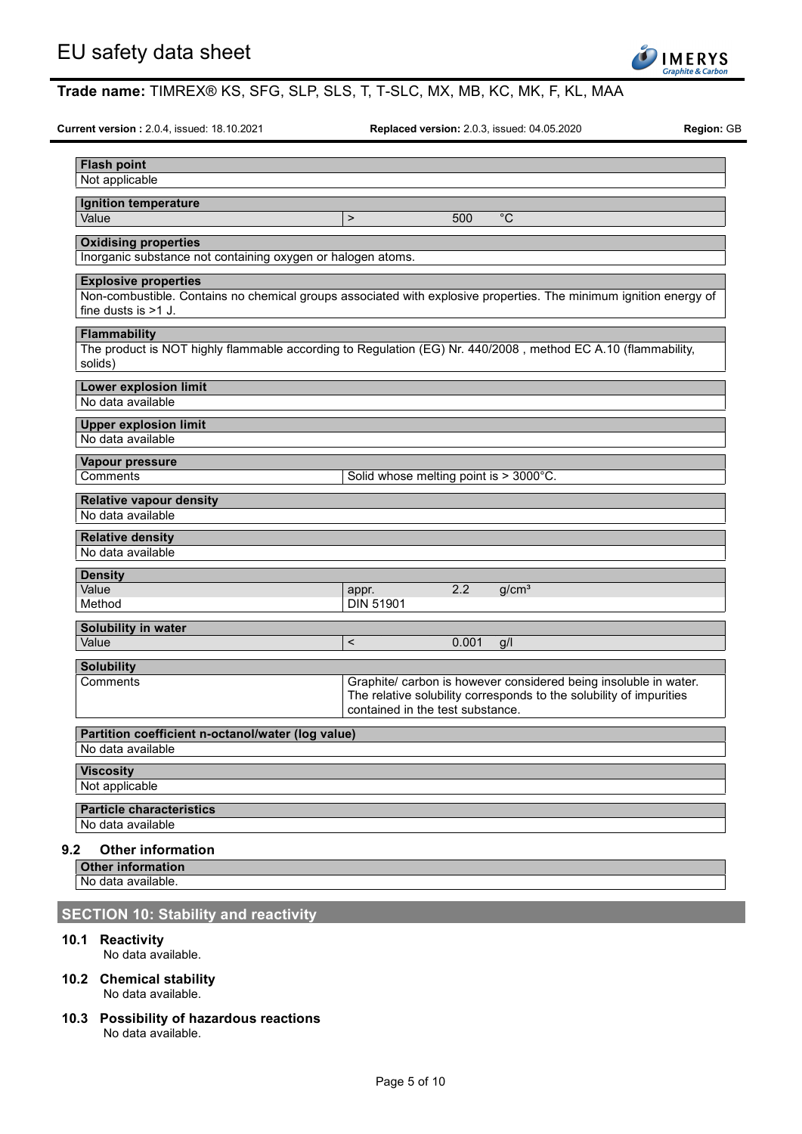

**Current version :** 2.0.4, issued: 18.10.2021 **Replaced version:** 2.0.3, issued: 04.05.2020 **Region:** GB

| <b>Ignition temperature</b>                                                                                             |                                        |       |                                                                     |  |
|-------------------------------------------------------------------------------------------------------------------------|----------------------------------------|-------|---------------------------------------------------------------------|--|
| Value                                                                                                                   | $\mathbf{L}$                           | 500   | $^{\circ}C$                                                         |  |
| <b>Oxidising properties</b>                                                                                             |                                        |       |                                                                     |  |
| Inorganic substance not containing oxygen or halogen atoms.                                                             |                                        |       |                                                                     |  |
| <b>Explosive properties</b>                                                                                             |                                        |       |                                                                     |  |
| Non-combustible. Contains no chemical groups associated with explosive properties. The minimum ignition energy of       |                                        |       |                                                                     |  |
| fine dusts is $>1$ J.                                                                                                   |                                        |       |                                                                     |  |
|                                                                                                                         |                                        |       |                                                                     |  |
| <b>Flammability</b>                                                                                                     |                                        |       |                                                                     |  |
| The product is NOT highly flammable according to Regulation (EG) Nr. 440/2008, method EC A.10 (flammability,<br>solids) |                                        |       |                                                                     |  |
|                                                                                                                         |                                        |       |                                                                     |  |
| <b>Lower explosion limit</b>                                                                                            |                                        |       |                                                                     |  |
| No data available                                                                                                       |                                        |       |                                                                     |  |
| <b>Upper explosion limit</b>                                                                                            |                                        |       |                                                                     |  |
| No data available                                                                                                       |                                        |       |                                                                     |  |
| Vapour pressure                                                                                                         |                                        |       |                                                                     |  |
| Comments                                                                                                                | Solid whose melting point is > 3000°C. |       |                                                                     |  |
|                                                                                                                         |                                        |       |                                                                     |  |
| <b>Relative vapour density</b>                                                                                          |                                        |       |                                                                     |  |
| No data available                                                                                                       |                                        |       |                                                                     |  |
| <b>Relative density</b>                                                                                                 |                                        |       |                                                                     |  |
| No data available                                                                                                       |                                        |       |                                                                     |  |
|                                                                                                                         |                                        |       |                                                                     |  |
|                                                                                                                         |                                        |       |                                                                     |  |
| <b>Density</b>                                                                                                          |                                        |       |                                                                     |  |
| Value<br>Method                                                                                                         | appr.<br><b>DIN 51901</b>              | 2.2   | g/cm <sup>3</sup>                                                   |  |
|                                                                                                                         |                                        |       |                                                                     |  |
| Solubility in water                                                                                                     |                                        |       |                                                                     |  |
| Value                                                                                                                   | $\,<$                                  | 0.001 | g/l                                                                 |  |
| <b>Solubility</b>                                                                                                       |                                        |       |                                                                     |  |
| Comments                                                                                                                |                                        |       | Graphite/ carbon is however considered being insoluble in water.    |  |
|                                                                                                                         |                                        |       | The relative solubility corresponds to the solubility of impurities |  |
|                                                                                                                         | contained in the test substance.       |       |                                                                     |  |
| Partition coefficient n-octanol/water (log value)                                                                       |                                        |       |                                                                     |  |
| No data available                                                                                                       |                                        |       |                                                                     |  |
| <b>Viscosity</b>                                                                                                        |                                        |       |                                                                     |  |
| Not applicable                                                                                                          |                                        |       |                                                                     |  |
|                                                                                                                         |                                        |       |                                                                     |  |
| <b>Particle characteristics</b>                                                                                         |                                        |       |                                                                     |  |
| No data available<br>9.2<br><b>Other information</b>                                                                    |                                        |       |                                                                     |  |

# **SECTION 10: Stability and reactivity**

## **10.1 Reactivity**

No data available.

- **10.2 Chemical stability** No data available.
- **10.3 Possibility of hazardous reactions** No data available.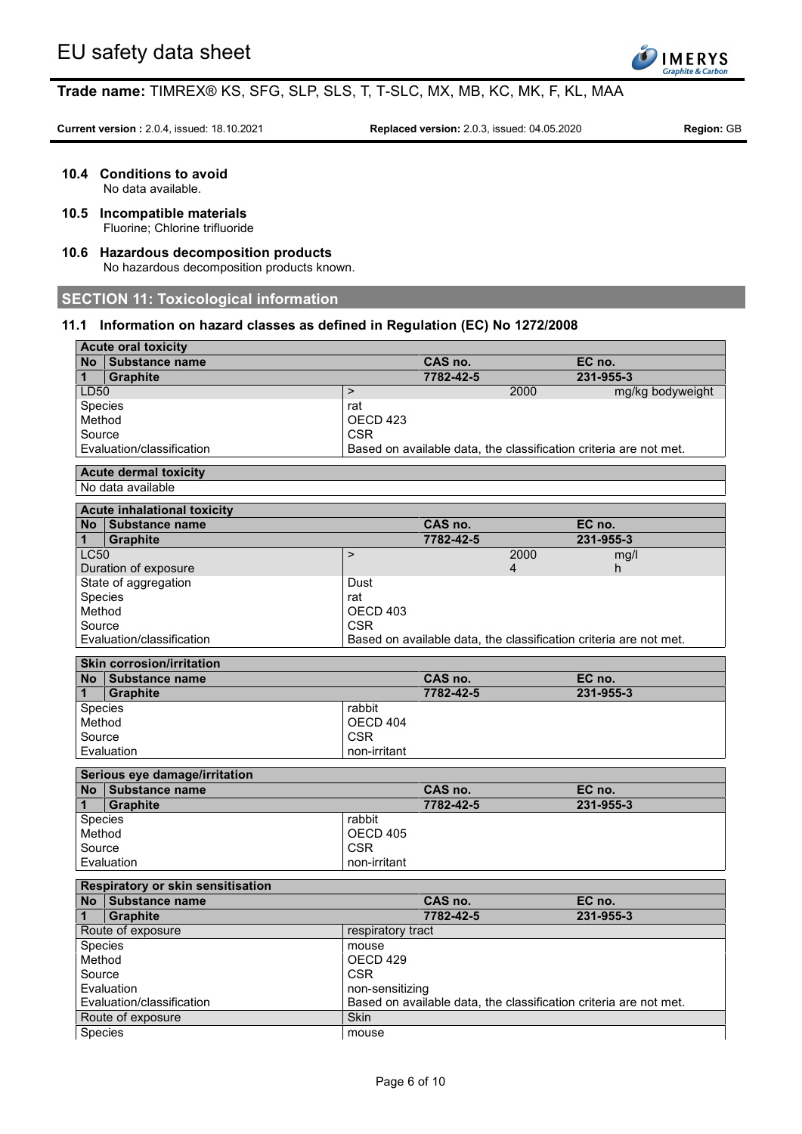

**Current version :** 2.0.4, issued: 18.10.2021 **Replaced version:** 2.0.3, issued: 04.05.2020 **Region:** GB

**10.4 Conditions to avoid**

No data available.

- **10.5 Incompatible materials** Fluorine; Chlorine trifluoride
- **10.6 Hazardous decomposition products** No hazardous decomposition products known.

# **SECTION 11: Toxicological information**

## **11.1 Information on hazard classes as defined in Regulation (EC) No 1272/2008**

|              | <b>Acute oral toxicity</b>                        |                     |           |      |                                                                   |
|--------------|---------------------------------------------------|---------------------|-----------|------|-------------------------------------------------------------------|
|              | No Substance name                                 |                     | CAS no.   |      | EC no.                                                            |
| $\mathbf{1}$ | <b>Graphite</b>                                   |                     | 7782-42-5 |      | 231-955-3                                                         |
| LD50         |                                                   | $\mathbf{L}$        |           | 2000 | mg/kg bodyweight                                                  |
|              | Species                                           | rat                 |           |      |                                                                   |
| Method       |                                                   | OECD <sub>423</sub> |           |      |                                                                   |
| Source       |                                                   | <b>CSR</b>          |           |      |                                                                   |
|              | Evaluation/classification                         |                     |           |      | Based on available data, the classification criteria are not met. |
|              |                                                   |                     |           |      |                                                                   |
|              | <b>Acute dermal toxicity</b><br>No data available |                     |           |      |                                                                   |
|              |                                                   |                     |           |      |                                                                   |
|              | <b>Acute inhalational toxicity</b>                |                     |           |      |                                                                   |
|              | No Substance name                                 |                     | CAS no.   |      | EC no.                                                            |
| $\mathbf 1$  | <b>Graphite</b>                                   |                     | 7782-42-5 |      | 231-955-3                                                         |
| <b>LC50</b>  |                                                   | $\mathbf{L}$        |           | 2000 | mg/l                                                              |
|              | Duration of exposure                              |                     |           | 4    | h                                                                 |
|              | State of aggregation                              | Dust                |           |      |                                                                   |
|              | Species                                           | rat                 |           |      |                                                                   |
| Method       |                                                   | OECD 403            |           |      |                                                                   |
| Source       |                                                   | <b>CSR</b>          |           |      |                                                                   |
|              | Evaluation/classification                         |                     |           |      | Based on available data, the classification criteria are not met. |
|              |                                                   |                     |           |      |                                                                   |
|              | <b>Skin corrosion/irritation</b>                  |                     |           |      |                                                                   |
|              | No Substance name                                 |                     | CAS no.   |      | EC no.                                                            |
| $\mathbf{1}$ | <b>Graphite</b>                                   |                     | 7782-42-5 |      | 231-955-3                                                         |
|              | Species                                           | rabbit              |           |      |                                                                   |
| Method       |                                                   | OECD 404            |           |      |                                                                   |
| Source       |                                                   | <b>CSR</b>          |           |      |                                                                   |
|              | Evaluation                                        | non-irritant        |           |      |                                                                   |
|              | Serious eye damage/irritation                     |                     |           |      |                                                                   |
|              | No Substance name                                 |                     | CAS no.   |      | EC no.                                                            |
| $\mathbf{1}$ | <b>Graphite</b>                                   |                     | 7782-42-5 |      | 231-955-3                                                         |
|              | Species                                           | rabbit              |           |      |                                                                   |
| Method       |                                                   | OECD 405            |           |      |                                                                   |
| Source       |                                                   | <b>CSR</b>          |           |      |                                                                   |
|              |                                                   |                     |           |      |                                                                   |
|              | Evaluation                                        | non-irritant        |           |      |                                                                   |
|              | Respiratory or skin sensitisation                 |                     |           |      |                                                                   |
|              | No Substance name                                 |                     | CAS no.   |      | EC no.                                                            |
| 1            | <b>Graphite</b>                                   |                     | 7782-42-5 |      | 231-955-3                                                         |
|              | Route of exposure                                 | respiratory tract   |           |      |                                                                   |
|              | Species                                           | mouse               |           |      |                                                                   |
| Method       |                                                   | OECD 429            |           |      |                                                                   |
| Source       |                                                   | <b>CSR</b>          |           |      |                                                                   |
|              | Evaluation                                        | non-sensitizing     |           |      |                                                                   |
|              | Evaluation/classification                         |                     |           |      | Based on available data, the classification criteria are not met. |
|              | Route of exposure                                 | Skin                |           |      |                                                                   |
| Species      |                                                   |                     |           |      |                                                                   |
|              |                                                   | mouse               |           |      |                                                                   |
|              |                                                   |                     |           |      |                                                                   |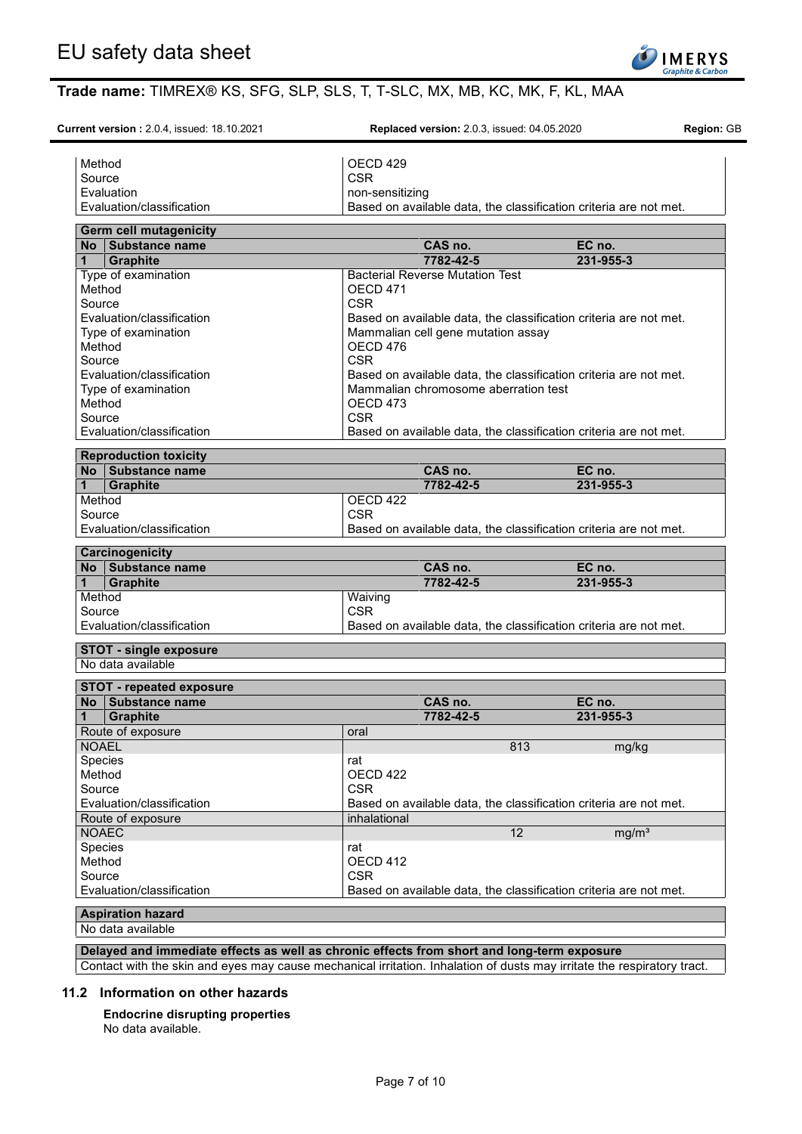

**Current version :** 2.0.4, issued: 18.10.2021 **Replaced version:** 2.0.3, issued: 04.05.2020 **Region:** GB

Method **OECD** 429 Source CSR CSR Evaluation **non-sensitizing** Evaluation/classification Based on available data, the classification criteria are not met. **Germ cell mutagenicity No Substance name CAS no. EC no. 1 Graphite 7782-42-5 231-955-3** Type of examination <br>
Method Bacterial Reverse Mutation Test<br>
OECD 471 OECD 471<br>CSR Source **CSR** Evaluation/classification Based on available data, the classification criteria are not met. Type of examination Mammalian cell gene mutation assay Method DECD 476 Source **CSR** Evaluation/classification Based on available data, the classification criteria are not met. Type of examination Mammalian chromosome aberration test Method OECD 473 Source **CSR** Evaluation/classification Based on available data, the classification criteria are not met. **Reproduction toxicity No Substance name CAS no. EC no. 1 Graphite 7782-42-5 231-955-3** Method **OECD** 422 Source CSR CSR Evaluation/classification Based on available data, the classification criteria are not met. **Carcinogenicity No Substance name CAS no. EC no. 1 Graphite 7782-42-5 231-955-3** Method Waiving Source CSR CSR Evaluation/classification Based on available data, the classification criteria are not met. **STOT - single exposure** No data available **STOT - repeated exposure No Substance name CAS no. EC no. 1 Graphite 7782-42-5 231-955-3** Route of exposure and a set of exposure oral NOAEL 813 mg/kg Species rat<br>
Method OE OECD 422 Source CSR CSR Evaluation/classification Based on available data, the classification criteria are not met. Route of exposure inhalational<br>NOAEC NOAEC  $\vert$  mg/m $^{3}$ Species **rational contract of the second contract of the second contract of the second contract of the second contract of the second contract of the second contract of the second contract of the second contract of the seco** Method OECD 412 Source CSR CSR Evaluation/classification Based on available data, the classification criteria are not met. **Aspiration hazard** No data available

**Delayed and immediate effects as well as chronic effects from short and long-term exposure**

Contact with the skin and eyes may cause mechanical irritation. Inhalation of dusts may irritate the respiratory tract.

#### **11.2 Information on other hazards**

**Endocrine disrupting properties** No data available.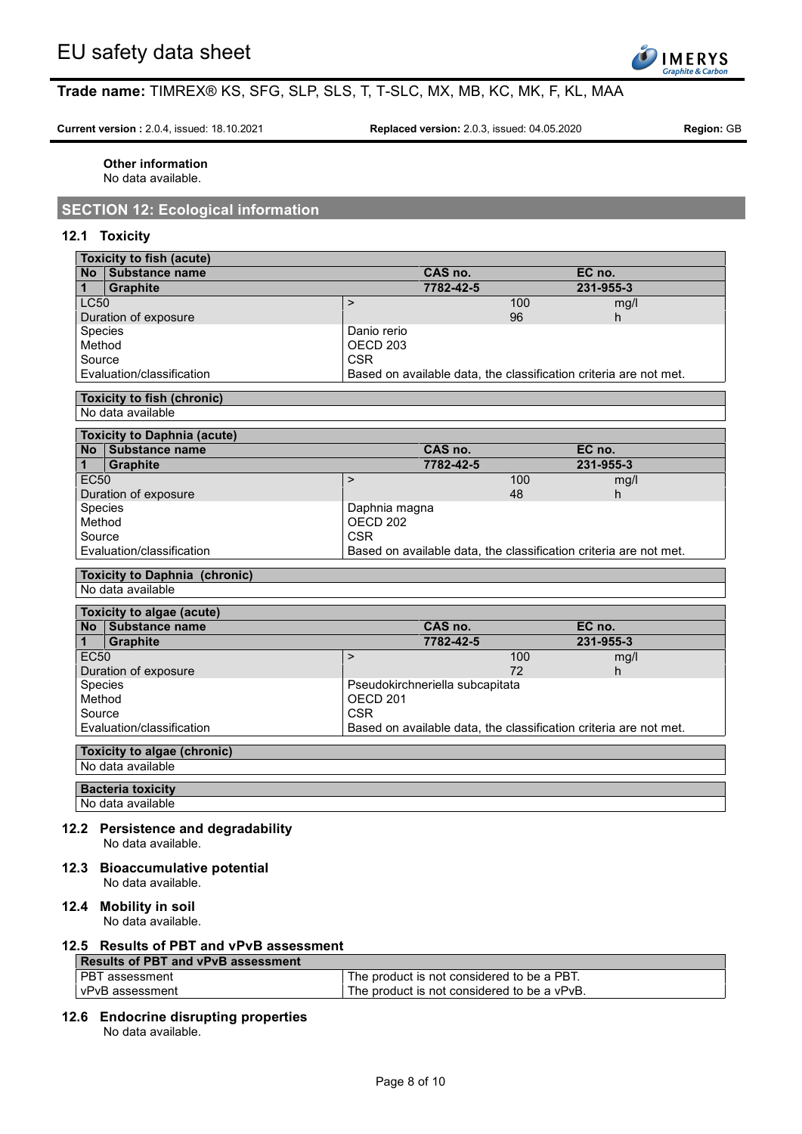

**Current version :** 2.0.4, issued: 18.10.2021 **Replaced version:** 2.0.3, issued: 04.05.2020 **Region:** GB

**Other information** No data available.

# **SECTION 12: Ecological information**

### **12.1 Toxicity**

| <b>Toxicity to fish (acute)</b>                                                                                                                                                                                                                                                                                                                                                                                                       |                                                                   |     |           |
|---------------------------------------------------------------------------------------------------------------------------------------------------------------------------------------------------------------------------------------------------------------------------------------------------------------------------------------------------------------------------------------------------------------------------------------|-------------------------------------------------------------------|-----|-----------|
| No Substance name                                                                                                                                                                                                                                                                                                                                                                                                                     | CAS no.                                                           |     | EC no.    |
| <b>Graphite</b><br>1                                                                                                                                                                                                                                                                                                                                                                                                                  | 7782-42-5                                                         |     | 231-955-3 |
| <b>LC50</b>                                                                                                                                                                                                                                                                                                                                                                                                                           | $\geq$                                                            | 100 | mg/l      |
| Duration of exposure                                                                                                                                                                                                                                                                                                                                                                                                                  |                                                                   | 96  | h         |
| Species                                                                                                                                                                                                                                                                                                                                                                                                                               | Danio rerio                                                       |     |           |
| Method                                                                                                                                                                                                                                                                                                                                                                                                                                | OECD <sub>203</sub>                                               |     |           |
| Source                                                                                                                                                                                                                                                                                                                                                                                                                                | <b>CSR</b>                                                        |     |           |
| Evaluation/classification                                                                                                                                                                                                                                                                                                                                                                                                             | Based on available data, the classification criteria are not met. |     |           |
| <b>Toxicity to fish (chronic)</b>                                                                                                                                                                                                                                                                                                                                                                                                     |                                                                   |     |           |
| No data available                                                                                                                                                                                                                                                                                                                                                                                                                     |                                                                   |     |           |
|                                                                                                                                                                                                                                                                                                                                                                                                                                       |                                                                   |     |           |
| <b>Toxicity to Daphnia (acute)</b>                                                                                                                                                                                                                                                                                                                                                                                                    |                                                                   |     |           |
| No Substance name                                                                                                                                                                                                                                                                                                                                                                                                                     | CAS no.                                                           |     | EC no.    |
| $\mathbf{1}$<br><b>Graphite</b>                                                                                                                                                                                                                                                                                                                                                                                                       | 7782-42-5                                                         |     | 231-955-3 |
| <b>EC50</b>                                                                                                                                                                                                                                                                                                                                                                                                                           | $\geq$                                                            | 100 | mg/l      |
| Duration of exposure                                                                                                                                                                                                                                                                                                                                                                                                                  |                                                                   | 48  | h.        |
| Species                                                                                                                                                                                                                                                                                                                                                                                                                               | Daphnia magna                                                     |     |           |
| Method                                                                                                                                                                                                                                                                                                                                                                                                                                | OECD <sub>202</sub>                                               |     |           |
| Source                                                                                                                                                                                                                                                                                                                                                                                                                                | <b>CSR</b>                                                        |     |           |
| Evaluation/classification                                                                                                                                                                                                                                                                                                                                                                                                             | Based on available data, the classification criteria are not met. |     |           |
| <b>Toxicity to Daphnia (chronic)</b>                                                                                                                                                                                                                                                                                                                                                                                                  |                                                                   |     |           |
| No data available                                                                                                                                                                                                                                                                                                                                                                                                                     |                                                                   |     |           |
|                                                                                                                                                                                                                                                                                                                                                                                                                                       |                                                                   |     |           |
| Toxicity to algae (acute)                                                                                                                                                                                                                                                                                                                                                                                                             |                                                                   |     |           |
| No Substance name                                                                                                                                                                                                                                                                                                                                                                                                                     | CAS no.                                                           |     | EC no.    |
| <b>Graphite</b><br>$\mathbf 1$                                                                                                                                                                                                                                                                                                                                                                                                        | 7782-42-5                                                         |     | 231-955-3 |
| <b>EC50</b>                                                                                                                                                                                                                                                                                                                                                                                                                           | $\mathbf{L}$                                                      | 100 | mg/l      |
| Duration of exposure                                                                                                                                                                                                                                                                                                                                                                                                                  |                                                                   | 72  | h         |
| Species                                                                                                                                                                                                                                                                                                                                                                                                                               | Pseudokirchneriella subcapitata                                   |     |           |
| Method                                                                                                                                                                                                                                                                                                                                                                                                                                | OECD <sub>201</sub>                                               |     |           |
| Source                                                                                                                                                                                                                                                                                                                                                                                                                                | <b>CSR</b>                                                        |     |           |
| Evaluation/classification                                                                                                                                                                                                                                                                                                                                                                                                             | Based on available data, the classification criteria are not met. |     |           |
|                                                                                                                                                                                                                                                                                                                                                                                                                                       |                                                                   |     |           |
| Toxicity to algae (chronic)<br>No data available                                                                                                                                                                                                                                                                                                                                                                                      |                                                                   |     |           |
|                                                                                                                                                                                                                                                                                                                                                                                                                                       |                                                                   |     |           |
| <b>Bacteria toxicity</b>                                                                                                                                                                                                                                                                                                                                                                                                              |                                                                   |     |           |
| No data available                                                                                                                                                                                                                                                                                                                                                                                                                     |                                                                   |     |           |
| $\overline{a}$ $\overline{b}$ $\overline{b}$ $\overline{c}$ $\overline{c}$ $\overline{c}$ $\overline{c}$ $\overline{c}$ $\overline{c}$ $\overline{c}$ $\overline{c}$ $\overline{c}$ $\overline{c}$ $\overline{c}$ $\overline{c}$ $\overline{c}$ $\overline{c}$ $\overline{c}$ $\overline{c}$ $\overline{c}$ $\overline{c}$ $\overline{c}$ $\overline{c}$ $\overline{c}$ $\overline{$<br>وكالأساس المستورد المراكب والمراسية والمراسية |                                                                   |     |           |

# **12.2 Persistence and degradability**

- No data available.
- **12.3 Bioaccumulative potential** No data available.

## **12.4 Mobility in soil**

No data available.

## **12.5 Results of PBT and vPvB assessment**

| Results of PBT and vPvB assessment |                                             |
|------------------------------------|---------------------------------------------|
| l PBT assessment                   | The product is not considered to be a PBT.  |
| l vPvB assessment                  | The product is not considered to be a vPvB. |

**12.6 Endocrine disrupting properties**

No data available.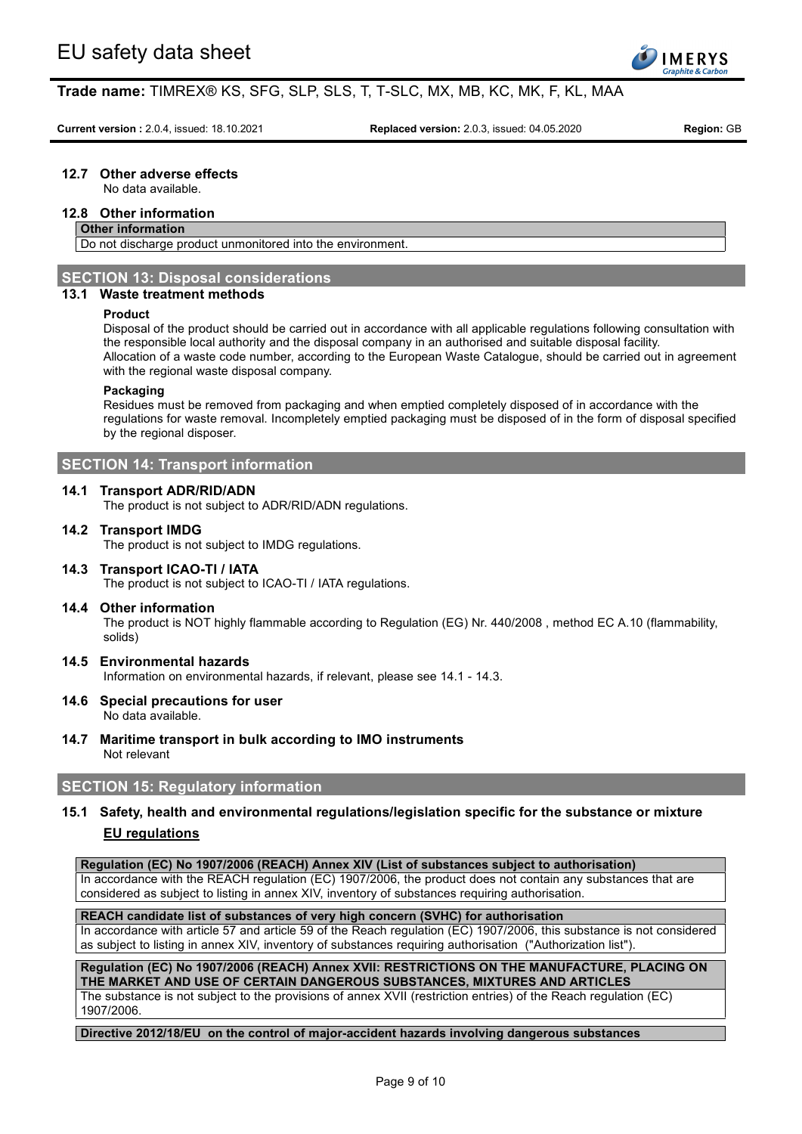

**Current version :** 2.0.4, issued: 18.10.2021 **Replaced version:** 2.0.3, issued: 04.05.2020 **Region:** GB

## **12.7 Other adverse effects**

No data available.

# **12.8 Other information**

# **Other information**

Do not discharge product unmonitored into the environment.

# **SECTION 13: Disposal considerations**

# **13.1 Waste treatment methods**

#### **Product**

Disposal of the product should be carried out in accordance with all applicable regulations following consultation with the responsible local authority and the disposal company in an authorised and suitable disposal facility. Allocation of a waste code number, according to the European Waste Catalogue, should be carried out in agreement with the regional waste disposal company.

#### **Packaging**

Residues must be removed from packaging and when emptied completely disposed of in accordance with the regulations for waste removal. Incompletely emptied packaging must be disposed of in the form of disposal specified by the regional disposer.

# **SECTION 14: Transport information**

#### **14.1 Transport ADR/RID/ADN**

The product is not subject to ADR/RID/ADN regulations.

#### **14.2 Transport IMDG**

The product is not subject to IMDG regulations.

# **14.3 Transport ICAO-TI / IATA**

The product is not subject to ICAO-TI / IATA regulations.

## **14.4 Other information**

The product is NOT highly flammable according to Regulation (EG) Nr. 440/2008 , method EC A.10 (flammability, solids)

# **14.5 Environmental hazards**

Information on environmental hazards, if relevant, please see 14.1 - 14.3.

# **14.6 Special precautions for user**

No data available.

**14.7 Maritime transport in bulk according to IMO instruments** Not relevant

## **SECTION 15: Regulatory information**

# **15.1 Safety, health and environmental regulations/legislation specific for the substance or mixture EU regulations**

**Regulation (EC) No 1907/2006 (REACH) Annex XIV (List of substances subject to authorisation)**

In accordance with the REACH regulation (EC) 1907/2006, the product does not contain any substances that are considered as subject to listing in annex XIV, inventory of substances requiring authorisation.

#### **REACH candidate list of substances of very high concern (SVHC) for authorisation**

In accordance with article 57 and article 59 of the Reach regulation (EC) 1907/2006, this substance is not considered as subject to listing in annex XIV, inventory of substances requiring authorisation ("Authorization list").

**Regulation (EC) No 1907/2006 (REACH) Annex XVII: RESTRICTIONS ON THE MANUFACTURE, PLACING ON THE MARKET AND USE OF CERTAIN DANGEROUS SUBSTANCES, MIXTURES AND ARTICLES**

The substance is not subject to the provisions of annex XVII (restriction entries) of the Reach regulation (EC) 1907/2006.

#### **Directive 2012/18/EU on the control of major-accident hazards involving dangerous substances**